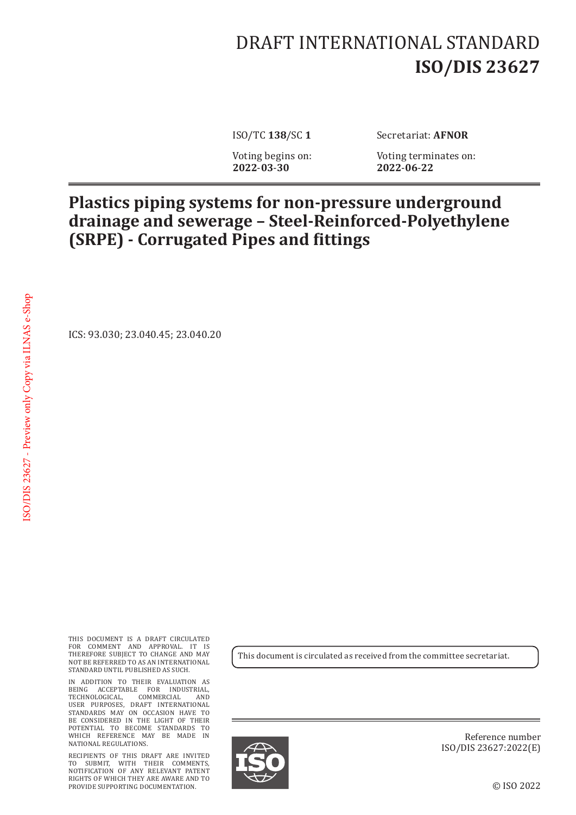## DRAFT INTERNATIONAL STANDARD **ISO/DIS 23627**

ISO/TC **138**/SC **1** Secretariat: **AFNOR**

Voting begins on: Voting terminates on:<br>2022-03-30 2022-06-22 **2022**-**03**-**30 2022**-**06**-**22**

## **Plastics piping systems for non-pressure underground drainage and sewerage – Steel-Reinforced-Polyethylene (SRPE) - Corrugated Pipes and fittings**

ICS: 93.030; 23.040.45; 23.040.20

THIS DOCUMENT IS A DRAFT CIRCULATED FOR COMMENT AND APPROVAL. IT IS THEREFORE SUBJECT TO CHANGE AND MAY NOT BE REFERRED TO AS AN INTERNATIONAL STANDARD UNTIL PUBLISHED AS SUCH.

IN ADDITION TO THEIR EVALUATION AS BEING ACCEPTABLE FOR INDUSTRIAL, TECHNOLOGICAL, COMMERCIAL AND USER PURPOSES, DRAFT INTERNATIONAL STANDARDS MAY ON OCCASION HAVE TO BE CONSIDERED IN THE LIGHT OF THEIR POTENTIAL TO BECOME STANDARDS TO WHICH REFERENCE MAY BE MADE IN NATIONAL REGULATIONS.

RECIPIENTS OF THIS DRAFT ARE INVITED TO SUBMIT, WITH THEIR COMMENTS, NOTIFICATION OF ANY RELEVANT PATENT RIGHTS OF WHICH THEY ARE AWARE AND TO PROVIDE SUPPORTING DOCUMENTATION.

This document is circulated as received from the committee secretariat.



Reference number ISO/DIS 23627:2022(E)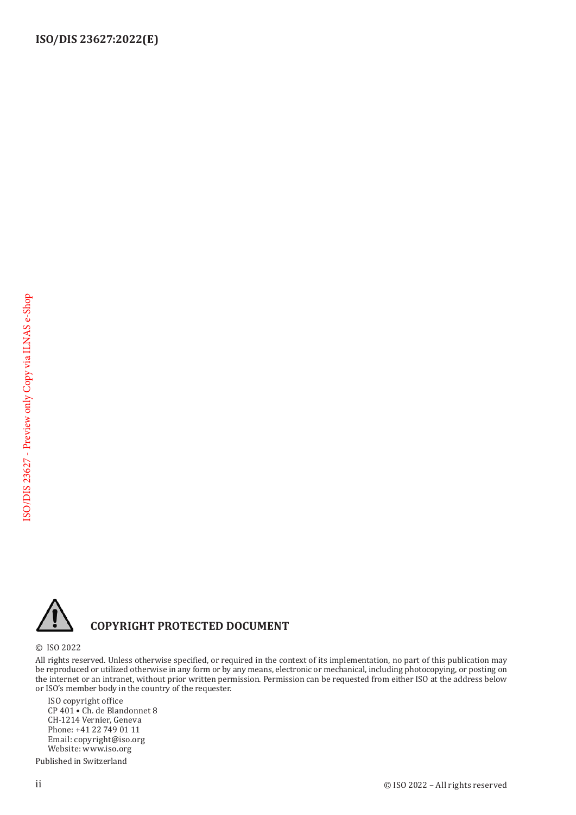

## **COPYRIGHT PROTECTED DOCUMENT**

© ISO 2022

All rights reserved. Unless otherwise specified, or required in the context of its implementation, no part of this publication may be reproduced or utilized otherwise in any form or by any means, electronic or mechanical, including photocopying, or posting on the internet or an intranet, without prior written permission. Permission can be requested from either ISO at the address below or ISO's member body in the country of the requester.

ISO copyright office CP 401 • Ch. de Blandonnet 8 CH-1214 Vernier, Geneva Phone: +41 22 749 01 11 Email: copyright@iso.org Website: www.iso.org

Published in Switzerland